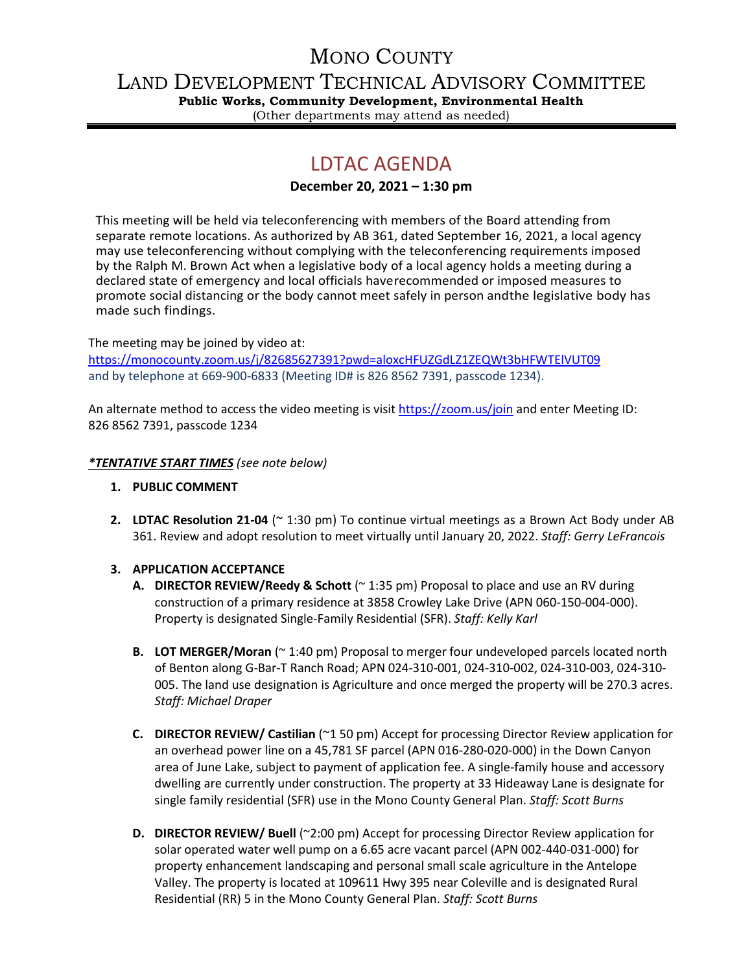## MONO COUNTY

LAND DEVELOPMENT TECHNICAL ADVISORY COMMITTEE

**Public Works, Community Development, Environmental Health** (Other departments may attend as needed)

# LDTAC AGENDA

#### **December 20, 2021 – 1:30 pm**

This meeting will be held via teleconferencing with members of the Board attending from separate remote locations. As authorized by AB 361, dated September 16, 2021, a local agency may use teleconferencing without complying with the teleconferencing requirements imposed by the Ralph M. Brown Act when a legislative body of a local agency holds a meeting during a declared state of emergency and local officials haverecommended or imposed measures to promote social distancing or the body cannot meet safely in person andthe legislative body has made such findings.

The meeting may be joined by video at:

<https://monocounty.zoom.us/j/82685627391?pwd=aloxcHFUZGdLZ1ZEQWt3bHFWTElVUT09> and by telephone at 669-900-6833 (Meeting ID# is 826 8562 7391, passcode 1234).

An alternate method to access the video meeting is visit <https://zoom.us/join> and enter Meeting ID: 826 8562 7391, passcode 1234

#### *\*TENTATIVE START TIMES (see note below)*

- **1. PUBLIC COMMENT**
- **2. LDTAC Resolution 21-04** (~ 1:30 pm) To continue virtual meetings as a Brown Act Body under AB 361. Review and adopt resolution to meet virtually until January 20, 2022. *Staff: Gerry LeFrancois*

### **3. APPLICATION ACCEPTANCE**

- **A. DIRECTOR REVIEW/Reedy & Schott** (~ 1:35 pm) Proposal to place and use an RV during construction of a primary residence at 3858 Crowley Lake Drive (APN 060-150-004-000). Property is designated Single-Family Residential (SFR). *Staff: Kelly Karl*
- **B. LOT MERGER/Moran** (~ 1:40 pm) Proposal to merger four undeveloped parcels located north of Benton along G-Bar-T Ranch Road; APN 024-310-001, 024-310-002, 024-310-003, 024-310- 005. The land use designation is Agriculture and once merged the property will be 270.3 acres. *Staff: Michael Draper*
- **C. DIRECTOR REVIEW/ Castilian** (~1 50 pm) Accept for processing Director Review application for an overhead power line on a 45,781 SF parcel (APN 016-280-020-000) in the Down Canyon area of June Lake, subject to payment of application fee. A single-family house and accessory dwelling are currently under construction. The property at 33 Hideaway Lane is designate for single family residential (SFR) use in the Mono County General Plan. *Staff: Scott Burns*
- **D. DIRECTOR REVIEW/ Buell** (~2:00 pm) Accept for processing Director Review application for solar operated water well pump on a 6.65 acre vacant parcel (APN 002-440-031-000) for property enhancement landscaping and personal small scale agriculture in the Antelope Valley. The property is located at 109611 Hwy 395 near Coleville and is designated Rural Residential (RR) 5 in the Mono County General Plan. *Staff: Scott Burns*